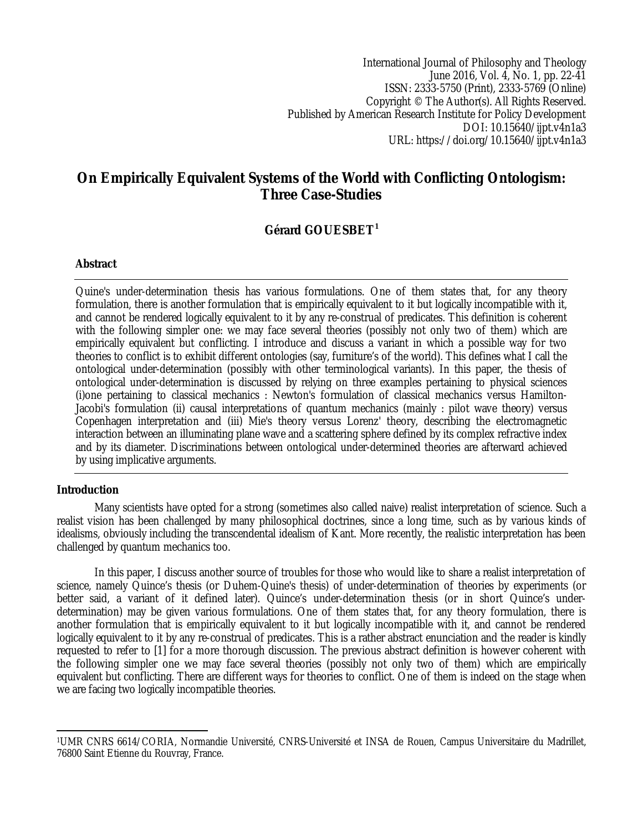International Journal of Philosophy and Theology June 2016, Vol. 4, No. 1, pp. 22-41 ISSN: 2333-5750 (Print), 2333-5769 (Online) Copyright © The Author(s). All Rights Reserved. Published by American Research Institute for Policy Development DOI: 10.15640/ijpt.v4n1a3 URL: https://doi.org/10.15640/ijpt.v4n1a3

# **On Empirically Equivalent Systems of the World with Conflicting Ontologism: Three Case-Studies**

## **Gérard GOUESBET<sup>1</sup>**

### **Abstract**

Quine's under-determination thesis has various formulations. One of them states that, for any theory formulation, there is another formulation that is empirically equivalent to it but logically incompatible with it, and cannot be rendered logically equivalent to it by any re-construal of predicates. This definition is coherent with the following simpler one: we may face several theories (possibly not only two of them) which are empirically equivalent but conflicting. I introduce and discuss a variant in which a possible way for two theories to conflict is to exhibit different ontologies (say, furniture's of the world). This defines what I call the ontological under-determination (possibly with other terminological variants). In this paper, the thesis of ontological under-determination is discussed by relying on three examples pertaining to physical sciences (i)one pertaining to classical mechanics : Newton's formulation of classical mechanics versus Hamilton-Jacobi's formulation (ii) causal interpretations of quantum mechanics (mainly : pilot wave theory) versus Copenhagen interpretation and (iii) Mie's theory versus Lorenz' theory, describing the electromagnetic interaction between an illuminating plane wave and a scattering sphere defined by its complex refractive index and by its diameter. Discriminations between ontological under-determined theories are afterward achieved by using implicative arguments.

#### **Introduction**

Many scientists have opted for a strong (sometimes also called naive) realist interpretation of science. Such a realist vision has been challenged by many philosophical doctrines, since a long time, such as by various kinds of idealisms, obviously including the transcendental idealism of Kant. More recently, the realistic interpretation has been challenged by quantum mechanics too.

In this paper, I discuss another source of troubles for those who would like to share a realist interpretation of science, namely Quince's thesis (or Duhem-Quine's thesis) of under-determination of theories by experiments (or better said, a variant of it defined later). Quince's under-determination thesis (or in short Quince's underdetermination) may be given various formulations. One of them states that, for any theory formulation, there is another formulation that is empirically equivalent to it but logically incompatible with it, and cannot be rendered logically equivalent to it by any re-construal of predicates. This is a rather abstract enunciation and the reader is kindly requested to refer to [1] for a more thorough discussion. The previous abstract definition is however coherent with the following simpler one we may face several theories (possibly not only two of them) which are empirically equivalent but conflicting. There are different ways for theories to conflict. One of them is indeed on the stage when we are facing two logically incompatible theories.

 $\overline{a}$ <sup>1</sup>UMR CNRS 6614/CORIA, Normandie Université, CNRS-Université et INSA de Rouen, Campus Universitaire du Madrillet, 76800 Saint Etienne du Rouvray, France.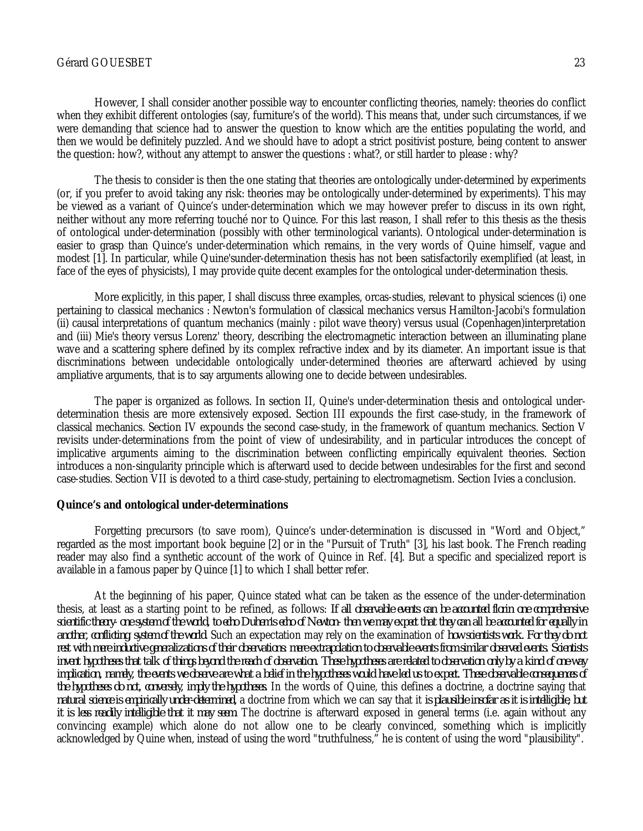#### Gérard GOUESBET 23

However, I shall consider another possible way to encounter conflicting theories, namely: theories do conflict when they exhibit different ontologies (say, furniture's of the world). This means that, under such circumstances, if we were demanding that science had to answer the question to know which are the entities populating the world, and then we would be definitely puzzled. And we should have to adopt a strict positivist posture, being content to answer the question: how?, without any attempt to answer the questions : what?, or still harder to please : why?

The thesis to consider is then the one stating that theories are ontologically under-determined by experiments (or, if you prefer to avoid taking any risk: theories may be ontologically under-determined by experiments). This may be viewed as a variant of Quince's under-determination which we may however prefer to discuss in its own right, neither without any more referring touché nor to Quince. For this last reason, I shall refer to this thesis as the thesis of ontological under-determination (possibly with other terminological variants). Ontological under-determination is easier to grasp than Quince's under-determination which remains, in the very words of Quine himself, vague and modest [1]. In particular, while Quine'sunder-determination thesis has not been satisfactorily exemplified (at least, in face of the eyes of physicists), I may provide quite decent examples for the ontological under-determination thesis.

More explicitly, in this paper, I shall discuss three examples, orcas-studies, relevant to physical sciences (i) one pertaining to classical mechanics : Newton's formulation of classical mechanics versus Hamilton-Jacobi's formulation (ii) causal interpretations of quantum mechanics (mainly : pilot wave theory) versus usual (Copenhagen)interpretation and (iii) Mie's theory versus Lorenz' theory, describing the electromagnetic interaction between an illuminating plane wave and a scattering sphere defined by its complex refractive index and by its diameter. An important issue is that discriminations between undecidable ontologically under-determined theories are afterward achieved by using ampliative arguments, that is to say arguments allowing one to decide between undesirables.

The paper is organized as follows. In section II, Quine's under-determination thesis and ontological underdetermination thesis are more extensively exposed. Section III expounds the first case-study, in the framework of classical mechanics. Section IV expounds the second case-study, in the framework of quantum mechanics. Section V revisits under-determinations from the point of view of undesirability, and in particular introduces the concept of implicative arguments aiming to the discrimination between conflicting empirically equivalent theories. Section introduces a non-singularity principle which is afterward used to decide between undesirables for the first and second case-studies. Section VII is devoted to a third case-study, pertaining to electromagnetism. Section Ivies a conclusion.

#### **Quince's and ontological under-determinations**

Forgetting precursors (to save room), Quince's under-determination is discussed in "Word and Object," regarded as the most important book beguine [2] or in the "Pursuit of Truth" [3], his last book. The French reading reader may also find a synthetic account of the work of Quince in Ref. [4]. But a specific and specialized report is available in a famous paper by Quince [1] to which I shall better refer.

At the beginning of his paper, Quince stated what can be taken as the essence of the under-determination thesis, at least as a starting point to be refined, as follows: *If all observable events can be accounted florin one comprehensive scientific theory- one system of the world, to echo Duhem's echo of Newton- then we may expect that they can all be accounted for equally in another, conflicting, system of the world*. Such an expectation may rely on the examination of *how scientists work. For they do not rest with mere inductive generalizations of their observations: mere extrapolation to observable events from similar observed events. Scientists invent hypotheses that talk of things beyond the reach of observation. These hypotheses are related to observation only by a kind of one-way implication, namely, the events we observe are what a belief in the hypotheses would have led us to expect. These observable consequences of the hypotheses do not, conversely, imply the hypotheses.* In the words of Quine, this defines a doctrine, a doctrine saying that *natural science is empirically under-determined,* a doctrine from which we can say that it *is plausible insofar as it is intelligible, but it is less readily intelligible that it may seem*. The doctrine is afterward exposed in general terms (i.e. again without any convincing example) which alone do not allow one to be clearly convinced, something which is implicitly acknowledged by Quine when, instead of using the word "truthfulness," he is content of using the word "plausibility".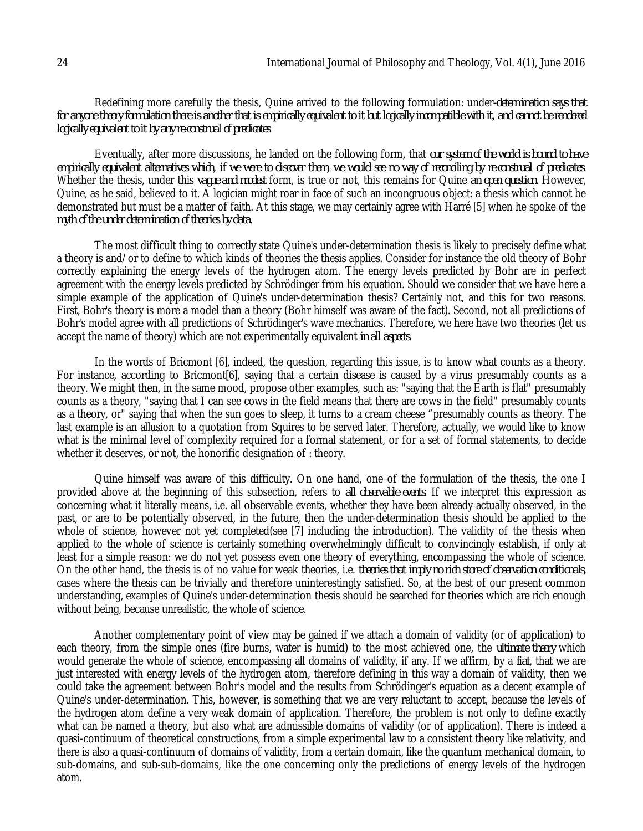Redefining more carefully the thesis, Quine arrived to the following formulation: under*-determination says that for anyone theory formulation there is another that is empirically equivalent to it but logically incompatible with it, and cannot be rendered logically equivalent to it by any re-construal of predicates*.

Eventually, after more discussions, he landed on the following form, that *our system of the world is bound to have empirically equivalent alternatives which, if we were to discover them, we would see no way of reconciling by re-construal of predicates.* Whether the thesis, under this *vague and modest* form, is true or not, this remains for Quine *an open question*. However, Quine, as he said, believed to it. A logician might roar in face of such an incongruous object: a thesis which cannot be demonstrated but must be a matter of faith. At this stage, we may certainly agree with Harré [5] when he spoke of the *myth of the under determination of theories by data*.

The most difficult thing to correctly state Quine's under-determination thesis is likely to precisely define what a theory is and/or to define to which kinds of theories the thesis applies. Consider for instance the old theory of Bohr correctly explaining the energy levels of the hydrogen atom. The energy levels predicted by Bohr are in perfect agreement with the energy levels predicted by Schrödinger from his equation. Should we consider that we have here a simple example of the application of Quine's under-determination thesis? Certainly not, and this for two reasons. First, Bohr's theory is more a model than a theory (Bohr himself was aware of the fact). Second, not all predictions of Bohr's model agree with all predictions of Schrödinger's wave mechanics. Therefore, we here have two theories (let us accept the name of theory) which are not experimentally equivalent *in all aspects.*

In the words of Bricmont [6], indeed, the question, regarding this issue, is to know what counts as a theory. For instance, according to Bricmont[6], saying that a certain disease is caused by a virus presumably counts as a theory. We might then, in the same mood, propose other examples, such as: "saying that the Earth is flat" presumably counts as a theory, "saying that I can see cows in the field means that there are cows in the field" presumably counts as a theory, or" saying that when the sun goes to sleep, it turns to a cream cheese "presumably counts as theory. The last example is an allusion to a quotation from Squires to be served later. Therefore, actually, we would like to know what is the minimal level of complexity required for a formal statement, or for a set of formal statements, to decide whether it deserves, or not, the honorific designation of : theory.

Quine himself was aware of this difficulty. On one hand, one of the formulation of the thesis, the one I provided above at the beginning of this subsection, refers to *all observable events*. If we interpret this expression as concerning what it literally means, i.e. all observable events, whether they have been already actually observed, in the past, or are to be potentially observed, in the future, then the under-determination thesis should be applied to the whole of science, however not yet completed(see [7] including the introduction). The validity of the thesis when applied to the whole of science is certainly something overwhelmingly difficult to convincingly establish, if only at least for a simple reason: we do not yet possess even one theory of everything, encompassing the whole of science. On the other hand, the thesis is of no value for weak theories, i.e. *theories that imply no rich store of observation conditionals,* cases where the thesis can be trivially and therefore uninterestingly satisfied. So, at the best of our present common understanding, examples of Quine's under-determination thesis should be searched for theories which are rich enough without being, because unrealistic, the whole of science.

Another complementary point of view may be gained if we attach a domain of validity (or of application) to each theory, from the simple ones (fire burns, water is humid) to the most achieved one, the *ultimate theory* which would generate the whole of science, encompassing all domains of validity, if any. If we affirm, by a *fiat*, that we are just interested with energy levels of the hydrogen atom, therefore defining in this way a domain of validity, then we could take the agreement between Bohr's model and the results from Schrödinger's equation as a decent example of Quine's under-determination. This, however, is something that we are very reluctant to accept, because the levels of the hydrogen atom define a very weak domain of application. Therefore, the problem is not only to define exactly what can be named a theory, but also what are admissible domains of validity (or of application). There is indeed a quasi-continuum of theoretical constructions, from a simple experimental law to a consistent theory like relativity, and there is also a quasi-continuum of domains of validity, from a certain domain, like the quantum mechanical domain, to sub-domains, and sub-sub-domains, like the one concerning only the predictions of energy levels of the hydrogen atom.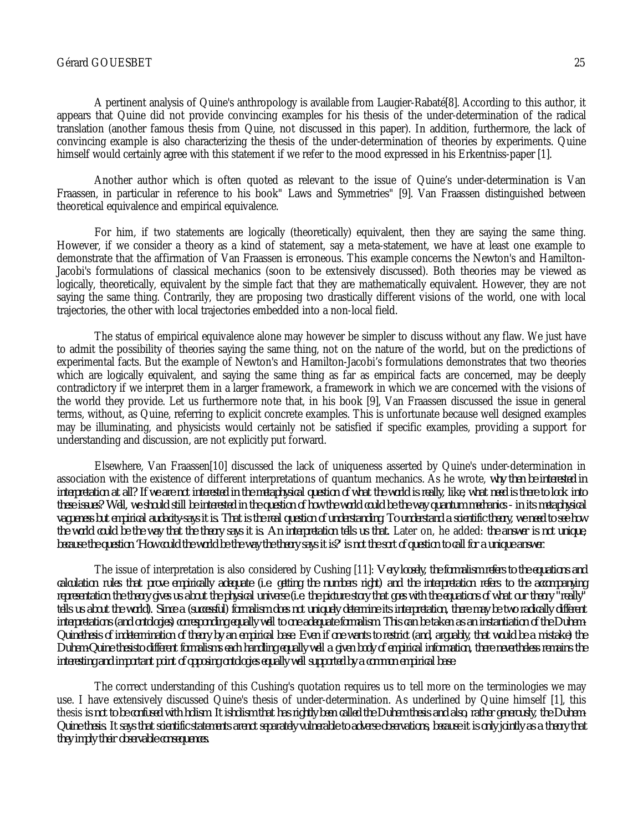#### Gérard GOUESBET 25

A pertinent analysis of Quine's anthropology is available from Laugier-Rabaté[8]. According to this author, it appears that Quine did not provide convincing examples for his thesis of the under-determination of the radical translation (another famous thesis from Quine, not discussed in this paper). In addition, furthermore, the lack of convincing example is also characterizing the thesis of the under-determination of theories by experiments. Quine himself would certainly agree with this statement if we refer to the mood expressed in his Erkentniss-paper [1].

Another author which is often quoted as relevant to the issue of Quine's under-determination is Van Fraassen, in particular in reference to his book" Laws and Symmetries" [9]. Van Fraassen distinguished between theoretical equivalence and empirical equivalence.

For him, if two statements are logically (theoretically) equivalent, then they are saying the same thing. However, if we consider a theory as a kind of statement, say a meta-statement, we have at least one example to demonstrate that the affirmation of Van Fraassen is erroneous. This example concerns the Newton's and Hamilton-Jacobi's formulations of classical mechanics (soon to be extensively discussed). Both theories may be viewed as logically, theoretically, equivalent by the simple fact that they are mathematically equivalent. However, they are not saying the same thing. Contrarily, they are proposing two drastically different visions of the world, one with local trajectories, the other with local trajectories embedded into a non-local field.

The status of empirical equivalence alone may however be simpler to discuss without any flaw. We just have to admit the possibility of theories saying the same thing, not on the nature of the world, but on the predictions of experimental facts. But the example of Newton's and Hamilton-Jacobi's formulations demonstrates that two theories which are logically equivalent, and saying the same thing as far as empirical facts are concerned, may be deeply contradictory if we interpret them in a larger framework, a framework in which we are concerned with the visions of the world they provide. Let us furthermore note that, in his book [9], Van Fraassen discussed the issue in general terms, without, as Quine, referring to explicit concrete examples. This is unfortunate because well designed examples may be illuminating, and physicists would certainly not be satisfied if specific examples, providing a support for understanding and discussion, are not explicitly put forward.

Elsewhere, Van Fraassen[10] discussed the lack of uniqueness asserted by Quine's under-determination in association with the existence of different interpretations of quantum mechanics. As he wrote, *why then be interested in interpretation at all? If we are not interested in the metaphysical question of what the world is really, like, what need is there to look into these issues? Well, we should still be interested in the question of how the world could be the way quantum mechanics - in its metaphysical vagueness but empirical audacity-says it is. That is the real question of understanding. To understand a scientific theory, we need to see how the world could be the way that the theory says it is. An interpretation tells us that.* Later on, he added: *the answer is not unique, because the question 'How could the world be the way the theory says it is?' is not the sort of question to call for a unique answer*.

The issue of interpretation is also considered by Cushing [11]: *Very loosely, the formalism refers to the equations and calculation rules that prove empirically adequate (i.e. getting the numbers right) and the interpretation refers to the accompanying representation the theory gives us about the physical universe (i.e. the picture story that goes with the equations of what our theory "really" tells us about the world). Since a (successful) formalism does not uniquely determine its interpretation, there may be two radically different interpretations (and ontologies) corresponding equally well to one adequate formalism. This can be taken as an instantiation of the Duhem-Quinethesis of indetermination of theory by an empirical base. Even if one wants to restrict (and, arguably, that would be a mistake) the Duhem-Quine thesisto different formalisms each handling equally well a given body of empirical information, there nevertheless remains the interesting and important point of opposing ontologies equally well supported by a common empirical base*.

The correct understanding of this Cushing's quotation requires us to tell more on the terminologies we may use. I have extensively discussed Quine's thesis of under-determination. As underlined by Quine himself [1], this thesis *is not to be confused with holism. It isholism that has rightly been called the Duhem thesis and also, rather generously, the Duhem-Quine thesis. It says that scientific statements arenot separately vulnerable to adverse observations, because it is only jointly as a theory that they imply their observable consequences.*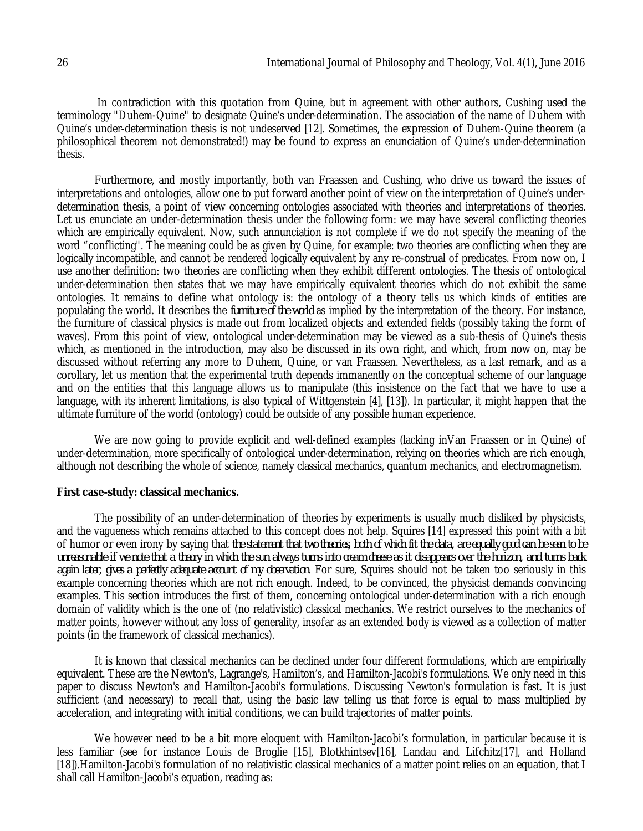In contradiction with this quotation from Quine, but in agreement with other authors, Cushing used the terminology "Duhem-Quine" to designate Quine's under-determination. The association of the name of Duhem with Quine's under-determination thesis is not undeserved [12]. Sometimes, the expression of Duhem-Quine theorem (a philosophical theorem not demonstrated!) may be found to express an enunciation of Quine's under-determination thesis.

Furthermore, and mostly importantly, both van Fraassen and Cushing, who drive us toward the issues of interpretations and ontologies, allow one to put forward another point of view on the interpretation of Quine's underdetermination thesis, a point of view concerning ontologies associated with theories and interpretations of theories. Let us enunciate an under-determination thesis under the following form: we may have several conflicting theories which are empirically equivalent. Now, such annunciation is not complete if we do not specify the meaning of the word "conflicting". The meaning could be as given by Quine, for example: two theories are conflicting when they are logically incompatible, and cannot be rendered logically equivalent by any re-construal of predicates. From now on, I use another definition: two theories are conflicting when they exhibit different ontologies. The thesis of ontological under-determination then states that we may have empirically equivalent theories which do not exhibit the same ontologies. It remains to define what ontology is: the ontology of a theory tells us which kinds of entities are populating the world. It describes the *furniture of the world* as implied by the interpretation of the theory. For instance, the furniture of classical physics is made out from localized objects and extended fields (possibly taking the form of waves). From this point of view, ontological under-determination may be viewed as a sub-thesis of Quine's thesis which, as mentioned in the introduction, may also be discussed in its own right, and which, from now on, may be discussed without referring any more to Duhem, Quine, or van Fraassen. Nevertheless, as a last remark, and as a corollary, let us mention that the experimental truth depends immanently on the conceptual scheme of our language and on the entities that this language allows us to manipulate (this insistence on the fact that we have to use a language, with its inherent limitations, is also typical of Wittgenstein [4], [13]). In particular, it might happen that the ultimate furniture of the world (ontology) could be outside of any possible human experience.

We are now going to provide explicit and well-defined examples (lacking inVan Fraassen or in Quine) of under-determination, more specifically of ontological under-determination, relying on theories which are rich enough, although not describing the whole of science, namely classical mechanics, quantum mechanics, and electromagnetism.

#### **First case-study: classical mechanics.**

The possibility of an under-determination of theories by experiments is usually much disliked by physicists, and the vagueness which remains attached to this concept does not help. Squires [14] expressed this point with a bit of humor or even irony by saying that *the statement that two theories, both of which fit the data, are equally good can be seen to be unreasonable if we note that a theory in which the sun always turns into cream cheese as it disappears over the horizon, and turns back again later, gives a perfectly adequate account of my observation*. For sure, Squires should not be taken too seriously in this example concerning theories which are not rich enough. Indeed, to be convinced, the physicist demands convincing examples. This section introduces the first of them, concerning ontological under-determination with a rich enough domain of validity which is the one of (no relativistic) classical mechanics. We restrict ourselves to the mechanics of matter points, however without any loss of generality, insofar as an extended body is viewed as a collection of matter points (in the framework of classical mechanics).

It is known that classical mechanics can be declined under four different formulations, which are empirically equivalent. These are the Newton's, Lagrange's, Hamilton's, and Hamilton-Jacobi's formulations. We only need in this paper to discuss Newton's and Hamilton-Jacobi's formulations. Discussing Newton's formulation is fast. It is just sufficient (and necessary) to recall that, using the basic law telling us that force is equal to mass multiplied by acceleration, and integrating with initial conditions, we can build trajectories of matter points.

We however need to be a bit more eloquent with Hamilton-Jacobi's formulation, in particular because it is less familiar (see for instance Louis de Broglie [15], Blotkhintsev[16], Landau and Lifchitz[17], and Holland [18]).Hamilton-Jacobi's formulation of no relativistic classical mechanics of a matter point relies on an equation, that I shall call Hamilton-Jacobi's equation, reading as: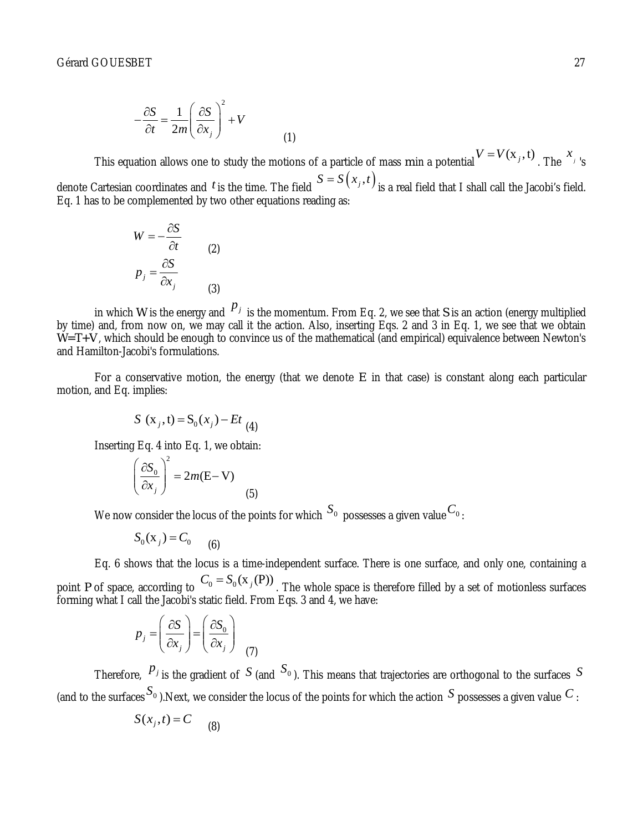$$
-\frac{\partial S}{\partial t} = \frac{1}{2m} \left( \frac{\partial S}{\partial x_j} \right)^2 + V \tag{1}
$$

This equation allows one to study the motions of a particle of mass *m* in a potential  $V=V(\bold{x}_j, \bold{t})$  . The  $\frac{x_j}{y_j}$ *x* 's denote Cartesian coordinates and  $\,t$  is the time. The field  $\,S = S\big(x_j,t\big)$  is a real field that I shall call the Jacobi's field. Eq. 1 has to be complemented by two other equations reading as:

$$
W = -\frac{\partial S}{\partial t}
$$
  
\n
$$
p_j = \frac{\partial S}{\partial x_j}
$$
 (2)

in which *W* is the energy and  $\overline{P}_j$  is the momentum. From Eq. 2, we see that *S* is an action (energy multiplied by time) and, from now on, we may call it the action. Also, inserting Eqs. 2 and 3 in Eq. 1, we see that we obtain *W=T+V*, which should be enough to convince us of the mathematical (and empirical) equivalence between Newton's and Hamilton-Jacobi's formulations.

For a conservative motion, the energy (that we denote *E* in that case) is constant along each particular motion, and Eq. implies:

$$
S(x_j, t) = S_0(x_j) - Et
$$
 (4)

Inserting Eq. 4 into Eq. 1, we obtain:

$$
\left(\frac{\partial S_0}{\partial x_j}\right)^2 = 2m(E - V)
$$
\n(5)

We now consider the locus of the points for which  $^{\vphantom{S} S_0}$  possesses a given value  $^{\vphantom{S_0} C_0}$  :

$$
S_0(\mathbf{x}_j) = C_0 \qquad (6)
$$

Eq. 6 shows that the locus is a time-independent surface. There is one surface, and only one, containing a point *P* of space, according to  $C_0$  =  $S_0({\rm x}_j({\rm P}))$  . The whole space is therefore filled by a set of motionless surfaces forming what I call the Jacobi's static field. From Eqs. 3 and 4, we have:

$$
p_j = \left(\frac{\partial S}{\partial x_j}\right) = \left(\frac{\partial S_0}{\partial x_j}\right) \tag{7}
$$

Therefore,  $\;{}^P{}^j$  is the gradient of  $\;S$  (and  $\;{}^S{}_{0}$ ). This means that trajectories are orthogonal to the surfaces  $\;S$ (and to the surfaces  $^{S_0}$  ).Next, we consider the locus of the points for which the action  $\,S$  possesses a given value  $\,C$  :

$$
S(x_j, t) = C
$$
 (8)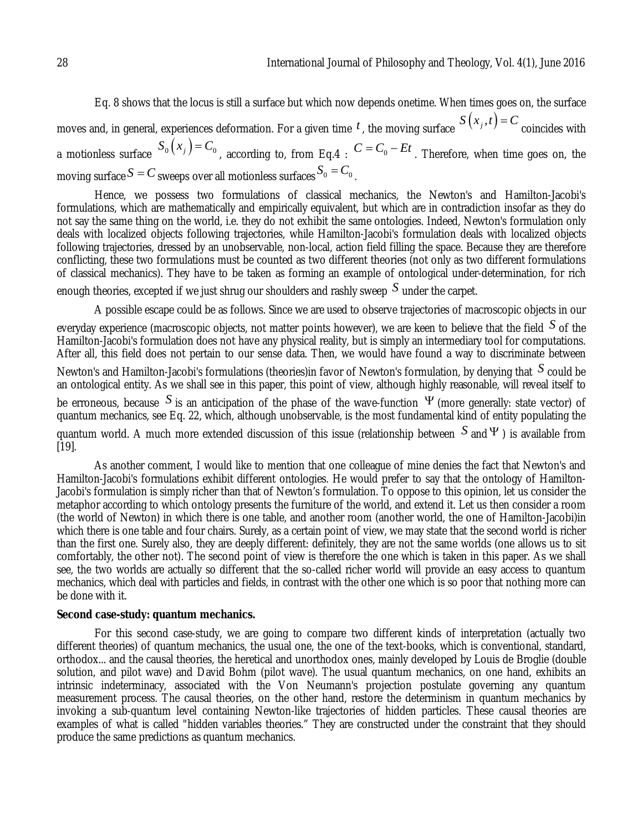Eq. 8 shows that the locus is still a surface but which now depends onetime. When times goes on, the surface moves and, in general, experiences deformation. For a given time  $\,$  , the moving surface  $\,S\big(x_j,t\big)\!=\!C\,$  coincides with a motionless surface  $S_0\big(x_j\big)\!=\!C_0$  , according to, from Eq.4 :  $C\!=\!C_0\!-\!Et}$  . Therefore, when time goes on, the moving surface  $S$  =  $C$  sweeps over all motionless surfaces  $S_{\rm o}$  =  $C_{\rm o}$  <sub>.</sub>

Hence, we possess two formulations of classical mechanics, the Newton's and Hamilton-Jacobi's formulations, which are mathematically and empirically equivalent, but which are in contradiction insofar as they do not say the same thing on the world, i.e. they do not exhibit the same ontologies. Indeed, Newton's formulation only deals with localized objects following trajectories, while Hamilton-Jacobi's formulation deals with localized objects following trajectories, dressed by an unobservable, non-local, action field filling the space. Because they are therefore conflicting, these two formulations must be counted as two different theories (not only as two different formulations of classical mechanics). They have to be taken as forming an example of ontological under-determination, for rich

enough theories, excepted if we just shrug our shoulders and rashly sweep *S* under the carpet.

A possible escape could be as follows. Since we are used to observe trajectories of macroscopic objects in our

everyday experience (macroscopic objects, not matter points however), we are keen to believe that the field *S* of the Hamilton-Jacobi's formulation does not have any physical reality, but is simply an intermediary tool for computations. After all, this field does not pertain to our sense data. Then, we would have found a way to discriminate between

Newton's and Hamilton-Jacobi's formulations (theories)in favor of Newton's formulation, by denying that *S* could be an ontological entity. As we shall see in this paper, this point of view, although highly reasonable, will reveal itself to

be erroneous, because  $S$  is an anticipation of the phase of the wave-function  $\Psi$  (more generally: state vector) of quantum mechanics, see Eq. 22, which, although unobservable, is the most fundamental kind of entity populating the quantum world. A much more extended discussion of this issue (relationship between  $S$  and  $\Psi$ ) is available from [19].

As another comment, I would like to mention that one colleague of mine denies the fact that Newton's and Hamilton-Jacobi's formulations exhibit different ontologies. He would prefer to say that the ontology of Hamilton-Jacobi's formulation is simply richer than that of Newton's formulation. To oppose to this opinion, let us consider the metaphor according to which ontology presents the furniture of the world, and extend it. Let us then consider a room (the world of Newton) in which there is one table, and another room (another world, the one of Hamilton-Jacobi)in which there is one table and four chairs. Surely, as a certain point of view, we may state that the second world is richer than the first one. Surely also, they are deeply different: definitely, they are not the same worlds (one allows us to sit comfortably, the other not). The second point of view is therefore the one which is taken in this paper. As we shall see, the two worlds are actually so different that the so-called richer world will provide an easy access to quantum mechanics, which deal with particles and fields, in contrast with the other one which is so poor that nothing more can be done with it.

## **Second case-study: quantum mechanics.**

For this second case-study, we are going to compare two different kinds of interpretation (actually two different theories) of quantum mechanics, the usual one, the one of the text-books, which is conventional, standard, orthodox... and the causal theories, the heretical and unorthodox ones, mainly developed by Louis de Broglie (double solution, and pilot wave) and David Bohm (pilot wave). The usual quantum mechanics, on one hand, exhibits an intrinsic indeterminacy, associated with the Von Neumann's projection postulate governing any quantum measurement process. The causal theories, on the other hand, restore the determinism in quantum mechanics by invoking a sub-quantum level containing Newton-like trajectories of hidden particles. These causal theories are examples of what is called "hidden variables theories." They are constructed under the constraint that they should produce the same predictions as quantum mechanics.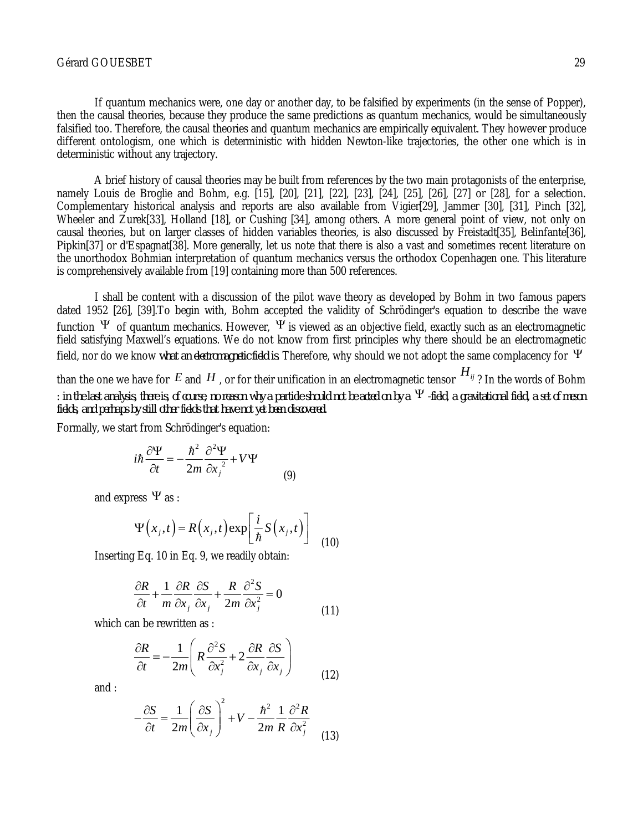If quantum mechanics were, one day or another day, to be falsified by experiments (in the sense of Popper), then the causal theories, because they produce the same predictions as quantum mechanics, would be simultaneously falsified too. Therefore, the causal theories and quantum mechanics are empirically equivalent. They however produce different ontologism, one which is deterministic with hidden Newton-like trajectories, the other one which is in deterministic without any trajectory.

A brief history of causal theories may be built from references by the two main protagonists of the enterprise, namely Louis de Broglie and Bohm, e.g. [15], [20], [21], [22], [23], [24], [25], [26], [27] or [28], for a selection. Complementary historical analysis and reports are also available from Vigier[29], Jammer [30], [31], Pinch [32], Wheeler and Zurek[33], Holland [18], or Cushing [34], among others. A more general point of view, not only on causal theories, but on larger classes of hidden variables theories, is also discussed by Freistadt[35], Belinfante[36], Pipkin[37] or d'Espagnat[38]. More generally, let us note that there is also a vast and sometimes recent literature on the unorthodox Bohmian interpretation of quantum mechanics versus the orthodox Copenhagen one. This literature is comprehensively available from [19] containing more than 500 references.

I shall be content with a discussion of the pilot wave theory as developed by Bohm in two famous papers dated 1952 [26], [39].To begin with, Bohm accepted the validity of Schrödinger's equation to describe the wave function  $\Psi$  of quantum mechanics. However,  $\Psi$  is viewed as an objective field, exactly such as an electromagnetic field satisfying Maxwell's equations. We do not know from first principles why there should be an electromagnetic field, nor do we know *what an electromagnetic field is*. Therefore, why should we not adopt the same complacency for

than the one we have for *<sup>E</sup>* and *<sup>H</sup>* , or for their unification in an electromagnetic tensor *Hij* ? In the words of Bohm : *in the last analysis, there is, of course, no reason why a particle should not be acted on by a -field*, *a gravitational field, a set of meson fields, and perhaps by still other fields that have not yet been discovered.*

Formally, we start from Schrödinger's equation:

$$
i\hbar \frac{\partial \Psi}{\partial t} = -\frac{\hbar^2}{2m} \frac{\partial^2 \Psi}{\partial x_j^2} + V\Psi
$$
\n(9)

and express  $\Psi$  as:

$$
\Psi(x_j, t) = R(x_j, t) \exp\left[\frac{i}{\hbar} S(x_j, t)\right]
$$
(10)

Inserting Eq. 10 in Eq. 9, we readily obtain:

$$
\frac{\partial R}{\partial t} + \frac{1}{m} \frac{\partial R}{\partial x_j} \frac{\partial S}{\partial x_j} + \frac{R}{2m} \frac{\partial^2 S}{\partial x_j^2} = 0
$$
\n(11)

which can be rewritten as :

$$
\frac{\partial R}{\partial t} = -\frac{1}{2m} \left( R \frac{\partial^2 S}{\partial x_j^2} + 2 \frac{\partial R}{\partial x_j} \frac{\partial S}{\partial x_j} \right)
$$
(12)

and :

$$
-\frac{\partial S}{\partial t} = \frac{1}{2m} \left( \frac{\partial S}{\partial x_j} \right)^2 + V - \frac{\hbar^2}{2m} \frac{1}{R} \frac{\partial^2 R}{\partial x_j^2}
$$
(13)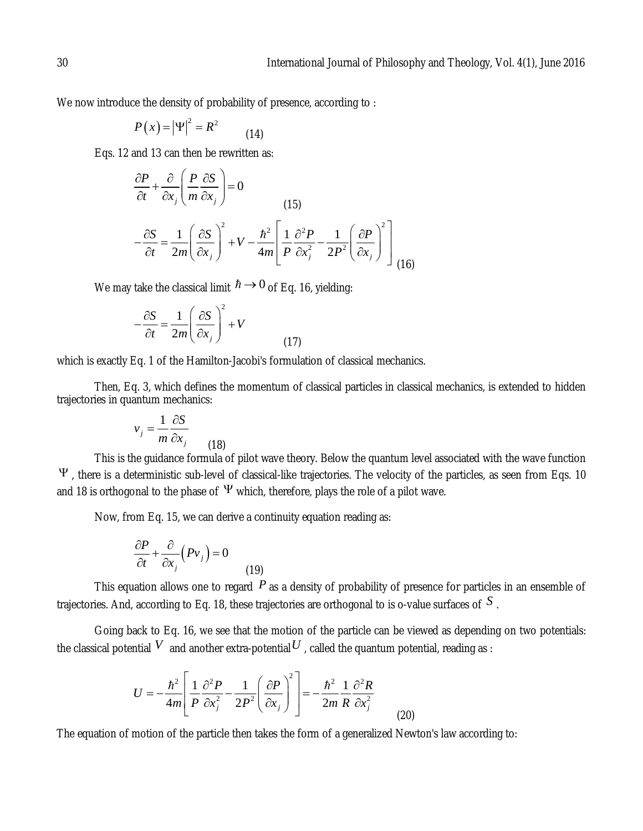We now introduce the density of probability of presence, according to:

$$
P(x) = |\Psi|^2 = R^2 \tag{14}
$$

Eqs. 12 and 13 can then be rewritten as:

$$
\frac{\partial P}{\partial t} + \frac{\partial}{\partial x_j} \left( \frac{P}{m} \frac{\partial S}{\partial x_j} \right) = 0
$$
\n
$$
-\frac{\partial S}{\partial t} = \frac{1}{2m} \left( \frac{\partial S}{\partial x_j} \right)^2 + V - \frac{\hbar^2}{4m} \left[ \frac{1}{P} \frac{\partial^2 P}{\partial x_j^2} - \frac{1}{2P^2} \left( \frac{\partial P}{\partial x_j} \right)^2 \right]
$$
\n(16)

We may take the classical limit  $h \rightarrow 0$  of Eq. 16, yielding:

$$
-\frac{\partial S}{\partial t} = \frac{1}{2m} \left( \frac{\partial S}{\partial x_j} \right)^2 + V \tag{17}
$$

which is exactly Eq. 1 of the Hamilton-Jacobi's formulation of classical mechanics.

Then, Eq. 3, which defines the momentum of classical particles in classical mechanics, is extended to hidden trajectories in quantum mechanics:

$$
v_j = \frac{1}{m} \frac{\partial S}{\partial x_j}
$$
 (18)

This is the guidance formula of pilot wave theory. Below the quantum level associated with the wave function  $\Psi$ , there is a deterministic sub-level of classical-like trajectories. The velocity of the particles, as seen from Eqs. 10 and 18 is orthogonal to the phase of  $\Psi$  which, therefore, plays the role of a pilot wave.

Now, from Eq. 15, we can derive a continuity equation reading as:

$$
\frac{\partial P}{\partial t} + \frac{\partial}{\partial x_j} \left( P v_j \right) = 0 \tag{19}
$$

This equation allows one to regard *P* as a density of probability of presence for particles in an ensemble of trajectories. And, according to Eq. 18, these trajectories are orthogonal to is o-value surfaces of *S* .

Going back to Eq. 16, we see that the motion of the particle can be viewed as depending on two potentials: the classical potential  $V$  and another extra-potential  $U$ , called the quantum potential, reading as :

$$
U = -\frac{\hbar^2}{4m} \left[ \frac{1}{P} \frac{\partial^2 P}{\partial x_j^2} - \frac{1}{2P^2} \left( \frac{\partial P}{\partial x_j} \right)^2 \right] = -\frac{\hbar^2}{2m} \frac{1}{R} \frac{\partial^2 R}{\partial x_j^2}
$$
(20)

The equation of motion of the particle then takes the form of a generalized Newton's law according to: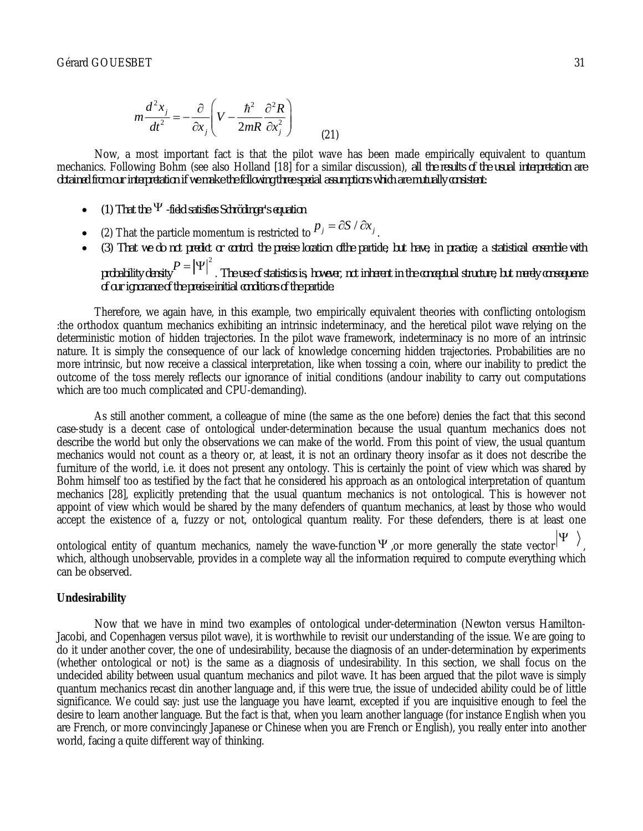$$
m\frac{d^2x_j}{dt^2} = -\frac{\partial}{\partial x_j} \left( V - \frac{\hbar^2}{2mR} \frac{\partial^2 R}{\partial x_j^2} \right)
$$
(21)

Now, a most important fact is that the pilot wave has been made empirically equivalent to quantum mechanics. Following Bohm (see also Holland [18] for a similar discussion), *all the results of the usual interpretation are obtained from our interpretation if we make the following three special assumptions which are mutually consistent:*

- *(1) That the -field satisfies Schrödinger's equation*
- (2) That the particle momentum is restricted to  $p_j = \partial S / \partial x_j$ .
- *(3) That we do not predict or control the precise location ofthe particle, but have, in practice, a statistical ensemble with*

*probability density*  $P=\left| \Psi \right|^2$  . The use of statistics is, however, not inherent in the conceptual structure, but merely consequence *of our ignorance of the precise initial conditions of the particle.*

Therefore, we again have, in this example, two empirically equivalent theories with conflicting ontologism :the orthodox quantum mechanics exhibiting an intrinsic indeterminacy, and the heretical pilot wave relying on the deterministic motion of hidden trajectories. In the pilot wave framework, indeterminacy is no more of an intrinsic nature. It is simply the consequence of our lack of knowledge concerning hidden trajectories. Probabilities are no more intrinsic, but now receive a classical interpretation, like when tossing a coin, where our inability to predict the outcome of the toss merely reflects our ignorance of initial conditions (andour inability to carry out computations which are too much complicated and CPU-demanding).

As still another comment, a colleague of mine (the same as the one before) denies the fact that this second case-study is a decent case of ontological under-determination because the usual quantum mechanics does not describe the world but only the observations we can make of the world. From this point of view, the usual quantum mechanics would not count as a theory or, at least, it is not an ordinary theory insofar as it does not describe the furniture of the world, i.e. it does not present any ontology. This is certainly the point of view which was shared by Bohm himself too as testified by the fact that he considered his approach as an ontological interpretation of quantum mechanics [28], explicitly pretending that the usual quantum mechanics is not ontological. This is however not appoint of view which would be shared by the many defenders of quantum mechanics, at least by those who would accept the existence of a, fuzzy or not, ontological quantum reality. For these defenders, there is at least one

ontological entity of quantum mechanics, namely the wave-function  $\Psi$  or more generally the state vector  $|\Psi\rangle$ , which, although unobservable, provides in a complete way all the information required to compute everything which can be observed.

#### **Undesirability**

Now that we have in mind two examples of ontological under-determination (Newton versus Hamilton-Jacobi, and Copenhagen versus pilot wave), it is worthwhile to revisit our understanding of the issue. We are going to do it under another cover, the one of undesirability, because the diagnosis of an under-determination by experiments (whether ontological or not) is the same as a diagnosis of undesirability. In this section, we shall focus on the undecided ability between usual quantum mechanics and pilot wave. It has been argued that the pilot wave is simply quantum mechanics recast din another language and, if this were true, the issue of undecided ability could be of little significance. We could say: just use the language you have learnt, excepted if you are inquisitive enough to feel the desire to learn another language. But the fact is that, when you learn another language (for instance English when you are French, or more convincingly Japanese or Chinese when you are French or English), you really enter into another world, facing a quite different way of thinking.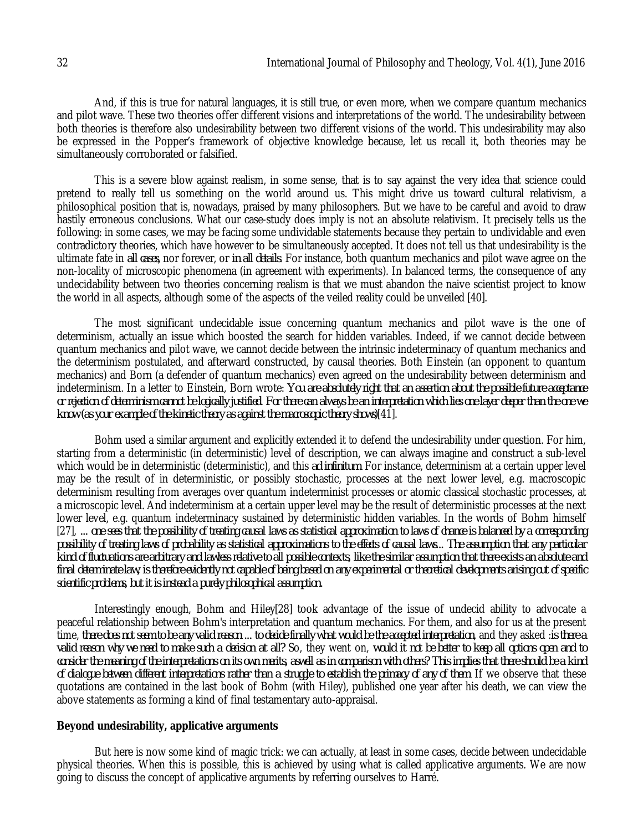And, if this is true for natural languages, it is still true, or even more, when we compare quantum mechanics and pilot wave. These two theories offer different visions and interpretations of the world. The undesirability between both theories is therefore also undesirability between two different visions of the world. This undesirability may also be expressed in the Popper's framework of objective knowledge because, let us recall it, both theories may be simultaneously corroborated or falsified.

This is a severe blow against realism, in some sense, that is to say against the very idea that science could pretend to really tell us something on the world around us. This might drive us toward cultural relativism, a philosophical position that is, nowadays, praised by many philosophers. But we have to be careful and avoid to draw hastily erroneous conclusions. What our case-study does imply is not an absolute relativism. It precisely tells us the following: in some cases, we may be facing some undividable statements because they pertain to undividable and even contradictory theories, which have however to be simultaneously accepted. It does not tell us that undesirability is the ultimate fate in *all cases,* nor forever, or *in all details*. For instance, both quantum mechanics and pilot wave agree on the non-locality of microscopic phenomena (in agreement with experiments). In balanced terms, the consequence of any undecidability between two theories concerning realism is that we must abandon the naive scientist project to know the world in all aspects, although some of the aspects of the veiled reality could be unveiled [40].

The most significant undecidable issue concerning quantum mechanics and pilot wave is the one of determinism, actually an issue which boosted the search for hidden variables. Indeed, if we cannot decide between quantum mechanics and pilot wave, we cannot decide between the intrinsic indeterminacy of quantum mechanics and the determinism postulated, and afterward constructed, by causal theories. Both Einstein (an opponent to quantum mechanics) and Born (a defender of quantum mechanics) even agreed on the undesirability between determinism and indeterminism. In a letter to Einstein, Born wrote: *You are absolutely right that an assertion about the possible future acceptance or rejection of determinism cannot be logically justified. For there can always be an interpretation which lies one layer deeper than the one we know (as your example of the kinetic theory as against the macroscopic theory shows)*[41].

Bohm used a similar argument and explicitly extended it to defend the undesirability under question. For him, starting from a deterministic (in deterministic) level of description, we can always imagine and construct a sub-level which would be in deterministic (deterministic), and this *ad infinitum*. For instance, determinism at a certain upper level may be the result of in deterministic, or possibly stochastic, processes at the next lower level, e.g. macroscopic determinism resulting from averages over quantum indeterminist processes or atomic classical stochastic processes, at a microscopic level. And indeterminism at a certain upper level may be the result of deterministic processes at the next lower level, e.g. quantum indeterminacy sustained by deterministic hidden variables. In the words of Bohm himself [27], *... one sees that the possibility of treating causal laws as statistical approximation to laws of chance is balanced by a corresponding possibility of treating laws of probability as statistical approximations to the effects of causal laws... The assumption that any particular kind of fluctuations are arbitrary and lawless relative to all possible contexts, like the similar assumption that there exists an absolute and final determinate law, is therefore evidently not capable of being based on any experimental or theoretical developments arising out of specific scientific problems, but it is instead a purely philosophical assumption.*

Interestingly enough, Bohm and Hiley[28] took advantage of the issue of undecid ability to advocate a peaceful relationship between Bohm's interpretation and quantum mechanics. For them, and also for us at the present time, *there does not seem to be any valid reason ... to decide finally what would be the accepted interpretation*, and they asked :*is there a valid reason why we need to make such a decision at all?* So, they went on, *would it not be better to keep all options open and to consider the meaning of the interpretations on its own merits, aswell as in comparison with others? This implies that there should be a kind of dialogue between different interpretations rather than a struggle to establish the primacy of any of them*. If we observe that these quotations are contained in the last book of Bohm (with Hiley), published one year after his death, we can view the above statements as forming a kind of final testamentary auto-appraisal.

#### **Beyond undesirability, applicative arguments**

But here is now some kind of magic trick: we can actually, at least in some cases, decide between undecidable physical theories. When this is possible, this is achieved by using what is called applicative arguments. We are now going to discuss the concept of applicative arguments by referring ourselves to Harré.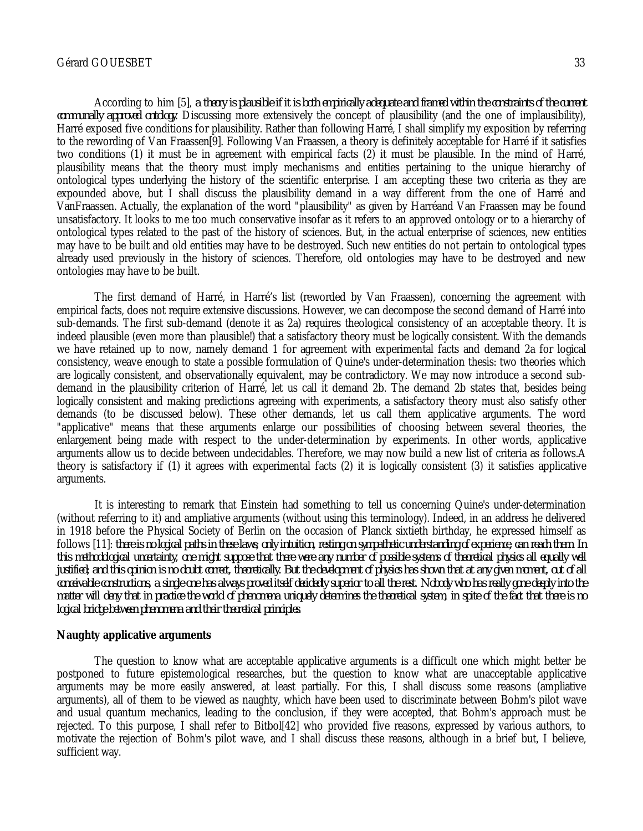#### Gérard GOUESBET 33

According to him [5], *a theory is plausible if it is both empirically adequate and framed within the constraints of the current communally approved ontology*. Discussing more extensively the concept of plausibility (and the one of implausibility), Harré exposed five conditions for plausibility. Rather than following Harré, I shall simplify my exposition by referring to the rewording of Van Fraassen[9]. Following Van Fraassen, a theory is definitely acceptable for Harré if it satisfies two conditions (1) it must be in agreement with empirical facts (2) it must be plausible. In the mind of Harré, plausibility means that the theory must imply mechanisms and entities pertaining to the unique hierarchy of ontological types underlying the history of the scientific enterprise. I am accepting these two criteria as they are expounded above, but I shall discuss the plausibility demand in a way different from the one of Harré and VanFraassen. Actually, the explanation of the word "plausibility" as given by Harréand Van Fraassen may be found unsatisfactory. It looks to me too much conservative insofar as it refers to an approved ontology or to a hierarchy of ontological types related to the past of the history of sciences. But, in the actual enterprise of sciences, new entities may have to be built and old entities may have to be destroyed. Such new entities do not pertain to ontological types already used previously in the history of sciences. Therefore, old ontologies may have to be destroyed and new ontologies may have to be built.

The first demand of Harré, in Harré's list (reworded by Van Fraassen), concerning the agreement with empirical facts, does not require extensive discussions. However, we can decompose the second demand of Harré into sub-demands. The first sub-demand (denote it as 2a) requires theological consistency of an acceptable theory. It is indeed plausible (even more than plausible!) that a satisfactory theory must be logically consistent. With the demands we have retained up to now, namely demand 1 for agreement with experimental facts and demand 2a for logical consistency, weave enough to state a possible formulation of Quine's under-determination thesis: two theories which are logically consistent, and observationally equivalent, may be contradictory. We may now introduce a second subdemand in the plausibility criterion of Harré, let us call it demand 2b. The demand 2b states that, besides being logically consistent and making predictions agreeing with experiments, a satisfactory theory must also satisfy other demands (to be discussed below). These other demands, let us call them applicative arguments. The word "applicative" means that these arguments enlarge our possibilities of choosing between several theories, the enlargement being made with respect to the under-determination by experiments. In other words, applicative arguments allow us to decide between undecidables. Therefore, we may now build a new list of criteria as follows.A theory is satisfactory if (1) it agrees with experimental facts (2) it is logically consistent (3) it satisfies applicative arguments.

It is interesting to remark that Einstein had something to tell us concerning Quine's under-determination (without referring to it) and ampliative arguments (without using this terminology). Indeed, in an address he delivered in 1918 before the Physical Society of Berlin on the occasion of Planck sixtieth birthday, he expressed himself as follows [11]: *there is no logical paths in these laws; only intuition, resting on sympathetic understanding of experience, can reach them. In this methodological uncertainty, one might suppose that there were any number of possible systems of theoretical physics all equally well justified; and this opinion is no doubt correct, theoretically. But the development of physics has shown that at any given moment, out of all conceivable constructions, a single one has always proved itself decidedly superior to all the rest. Nobody who has really gone deeply into the matter will deny that in practice the world of phenomena uniquely determines the theoretical system, in spite of the fact that there is no logical bridge between phenomena and their theoretical principles*.

#### **Naughty applicative arguments**

The question to know what are acceptable applicative arguments is a difficult one which might better be postponed to future epistemological researches, but the question to know what are unacceptable applicative arguments may be more easily answered, at least partially. For this, I shall discuss some reasons (ampliative arguments), all of them to be viewed as naughty, which have been used to discriminate between Bohm's pilot wave and usual quantum mechanics, leading to the conclusion, if they were accepted, that Bohm's approach must be rejected. To this purpose, I shall refer to Bitbol[42] who provided five reasons, expressed by various authors, to motivate the rejection of Bohm's pilot wave, and I shall discuss these reasons, although in a brief but, I believe, sufficient way.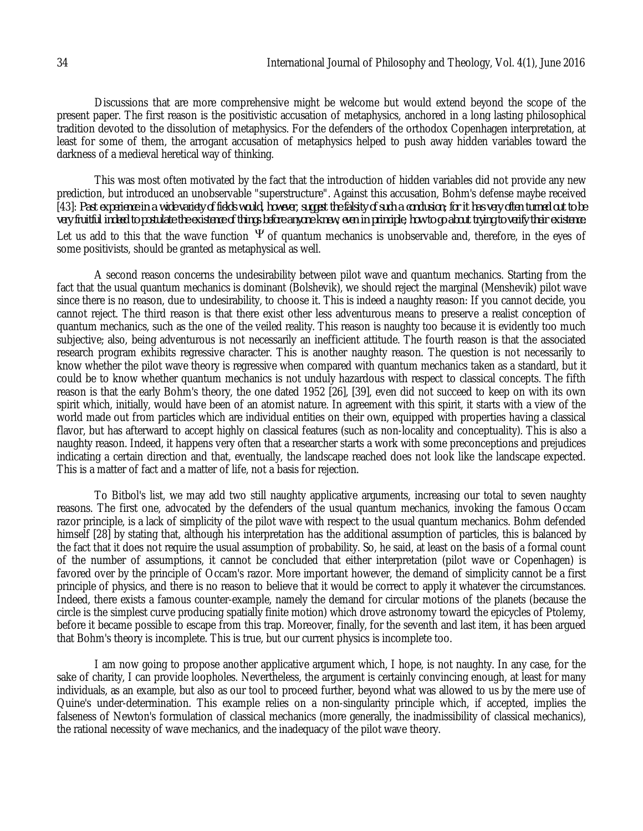Discussions that are more comprehensive might be welcome but would extend beyond the scope of the present paper. The first reason is the positivistic accusation of metaphysics, anchored in a long lasting philosophical tradition devoted to the dissolution of metaphysics. For the defenders of the orthodox Copenhagen interpretation, at least for some of them, the arrogant accusation of metaphysics helped to push away hidden variables toward the darkness of a medieval heretical way of thinking.

This was most often motivated by the fact that the introduction of hidden variables did not provide any new prediction, but introduced an unobservable "superstructure". Against this accusation, Bohm's defense maybe received [43]: *Past experience in a wide variety of fields would, however, suggest the falsity of such a conclusion; for it has very often turned out to be very fruitful indeed to postulate the existence of things before anyone knew, even in principle, how to go about trying to verify their existence.* Let us add to this that the wave function  $\Psi$  of quantum mechanics is unobservable and, therefore, in the eyes of some positivists, should be granted as metaphysical as well.

A second reason concerns the undesirability between pilot wave and quantum mechanics. Starting from the fact that the usual quantum mechanics is dominant (Bolshevik), we should reject the marginal (Menshevik) pilot wave since there is no reason, due to undesirability, to choose it. This is indeed a naughty reason: If you cannot decide, you cannot reject. The third reason is that there exist other less adventurous means to preserve a realist conception of quantum mechanics, such as the one of the veiled reality. This reason is naughty too because it is evidently too much subjective; also, being adventurous is not necessarily an inefficient attitude. The fourth reason is that the associated research program exhibits regressive character. This is another naughty reason. The question is not necessarily to know whether the pilot wave theory is regressive when compared with quantum mechanics taken as a standard, but it could be to know whether quantum mechanics is not unduly hazardous with respect to classical concepts. The fifth reason is that the early Bohm's theory, the one dated 1952 [26], [39], even did not succeed to keep on with its own spirit which, initially, would have been of an atomist nature. In agreement with this spirit, it starts with a view of the world made out from particles which are individual entities on their own, equipped with properties having a classical flavor, but has afterward to accept highly on classical features (such as non-locality and conceptuality). This is also a naughty reason. Indeed, it happens very often that a researcher starts a work with some preconceptions and prejudices indicating a certain direction and that, eventually, the landscape reached does not look like the landscape expected. This is a matter of fact and a matter of life, not a basis for rejection.

To Bitbol's list, we may add two still naughty applicative arguments, increasing our total to seven naughty reasons. The first one, advocated by the defenders of the usual quantum mechanics, invoking the famous Occam razor principle, is a lack of simplicity of the pilot wave with respect to the usual quantum mechanics. Bohm defended himself [28] by stating that, although his interpretation has the additional assumption of particles, this is balanced by the fact that it does not require the usual assumption of probability. So, he said, at least on the basis of a formal count of the number of assumptions, it cannot be concluded that either interpretation (pilot wave or Copenhagen) is favored over by the principle of Occam's razor. More important however, the demand of simplicity cannot be a first principle of physics, and there is no reason to believe that it would be correct to apply it whatever the circumstances. Indeed, there exists a famous counter-example, namely the demand for circular motions of the planets (because the circle is the simplest curve producing spatially finite motion) which drove astronomy toward the epicycles of Ptolemy, before it became possible to escape from this trap. Moreover, finally, for the seventh and last item, it has been argued that Bohm's theory is incomplete. This is true, but our current physics is incomplete too.

I am now going to propose another applicative argument which, I hope, is not naughty. In any case, for the sake of charity, I can provide loopholes. Nevertheless, the argument is certainly convincing enough, at least for many individuals, as an example, but also as our tool to proceed further, beyond what was allowed to us by the mere use of Quine's under-determination. This example relies on a non-singularity principle which, if accepted, implies the falseness of Newton's formulation of classical mechanics (more generally, the inadmissibility of classical mechanics), the rational necessity of wave mechanics, and the inadequacy of the pilot wave theory.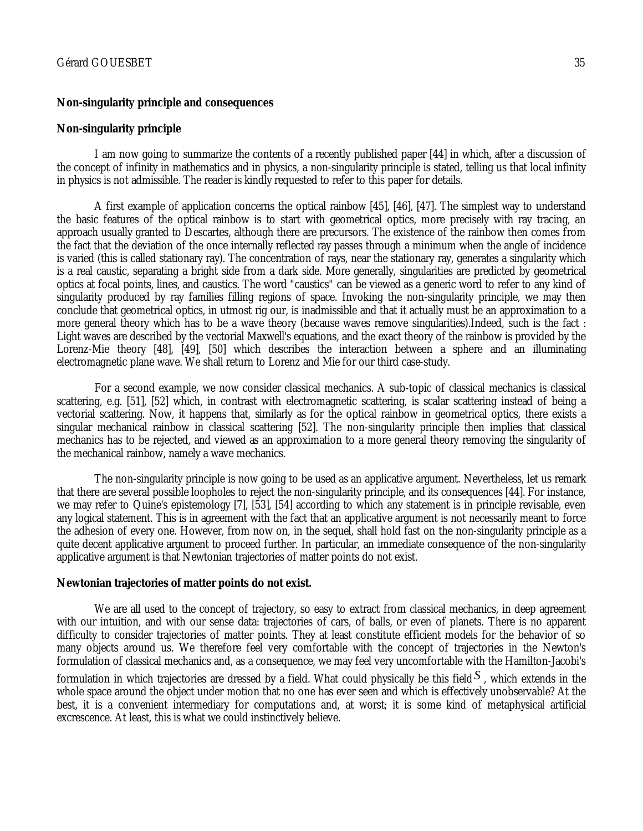#### **Non-singularity principle and consequences**

#### **Non-singularity principle**

I am now going to summarize the contents of a recently published paper [44] in which, after a discussion of the concept of infinity in mathematics and in physics, a non-singularity principle is stated, telling us that local infinity in physics is not admissible. The reader is kindly requested to refer to this paper for details.

A first example of application concerns the optical rainbow [45], [46], [47]. The simplest way to understand the basic features of the optical rainbow is to start with geometrical optics, more precisely with ray tracing, an approach usually granted to Descartes, although there are precursors. The existence of the rainbow then comes from the fact that the deviation of the once internally reflected ray passes through a minimum when the angle of incidence is varied (this is called stationary ray). The concentration of rays, near the stationary ray, generates a singularity which is a real caustic, separating a bright side from a dark side. More generally, singularities are predicted by geometrical optics at focal points, lines, and caustics. The word "caustics" can be viewed as a generic word to refer to any kind of singularity produced by ray families filling regions of space. Invoking the non-singularity principle, we may then conclude that geometrical optics, in utmost rig our, is inadmissible and that it actually must be an approximation to a more general theory which has to be a wave theory (because waves remove singularities).Indeed, such is the fact : Light waves are described by the vectorial Maxwell's equations, and the exact theory of the rainbow is provided by the Lorenz-Mie theory [48], [49], [50] which describes the interaction between a sphere and an illuminating electromagnetic plane wave. We shall return to Lorenz and Mie for our third case-study.

For a second example, we now consider classical mechanics. A sub-topic of classical mechanics is classical scattering, e.g. [51], [52] which, in contrast with electromagnetic scattering, is scalar scattering instead of being a vectorial scattering. Now, it happens that, similarly as for the optical rainbow in geometrical optics, there exists a singular mechanical rainbow in classical scattering [52]. The non-singularity principle then implies that classical mechanics has to be rejected, and viewed as an approximation to a more general theory removing the singularity of the mechanical rainbow, namely a wave mechanics.

The non-singularity principle is now going to be used as an applicative argument. Nevertheless, let us remark that there are several possible loopholes to reject the non-singularity principle, and its consequences [44]. For instance, we may refer to Quine's epistemology [7], [53], [54] according to which any statement is in principle revisable, even any logical statement. This is in agreement with the fact that an applicative argument is not necessarily meant to force the adhesion of every one. However, from now on, in the sequel, shall hold fast on the non-singularity principle as a quite decent applicative argument to proceed further. In particular, an immediate consequence of the non-singularity applicative argument is that Newtonian trajectories of matter points do not exist.

#### **Newtonian trajectories of matter points do not exist.**

We are all used to the concept of trajectory, so easy to extract from classical mechanics, in deep agreement with our intuition, and with our sense data: trajectories of cars, of balls, or even of planets. There is no apparent difficulty to consider trajectories of matter points. They at least constitute efficient models for the behavior of so many objects around us. We therefore feel very comfortable with the concept of trajectories in the Newton's formulation of classical mechanics and, as a consequence, we may feel very uncomfortable with the Hamilton-Jacobi's

formulation in which trajectories are dressed by a field. What could physically be this field *S* , which extends in the whole space around the object under motion that no one has ever seen and which is effectively unobservable? At the best, it is a convenient intermediary for computations and, at worst; it is some kind of metaphysical artificial excrescence. At least, this is what we could instinctively believe.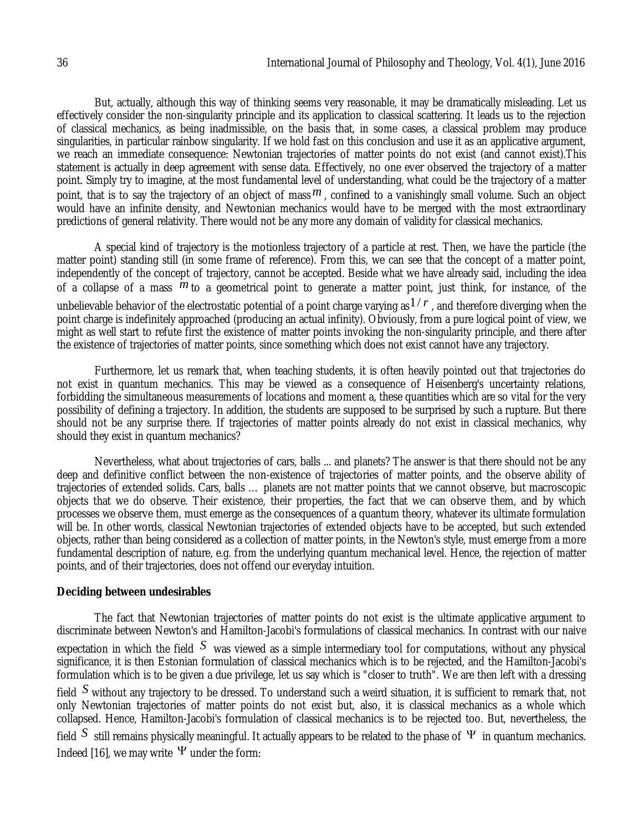But, actually, although this way of thinking seems very reasonable, it may be dramatically misleading. Let us effectively consider the non-singularity principle and its application to classical scattering. It leads us to the rejection of classical mechanics, as being inadmissible, on the basis that, in some cases, a classical problem may produce singularities, in particular rainbow singularity. If we hold fast on this conclusion and use it as an applicative argument, we reach an immediate consequence: Newtonian trajectories of matter points do not exist (and cannot exist).This statement is actually in deep agreement with sense data. Effectively, no one ever observed the trajectory of a matter point. Simply try to imagine, at the most fundamental level of understanding, what could be the trajectory of a matter point, that is to say the trajectory of an object of mass*m* , confined to a vanishingly small volume. Such an object would have an infinite density, and Newtonian mechanics would have to be merged with the most extraordinary predictions of general relativity. There would not be any more any domain of validity for classical mechanics.

A special kind of trajectory is the motionless trajectory of a particle at rest. Then, we have the particle (the matter point) standing still (in some frame of reference). From this, we can see that the concept of a matter point, independently of the concept of trajectory, cannot be accepted. Beside what we have already said, including the idea of a collapse of a mass *m* to a geometrical point to generate a matter point, just think, for instance, of the unbelievable behavior of the electrostatic potential of a point charge varying as  $1/r$ , and therefore diverging when the point charge is indefinitely approached (producing an actual infinity). Obviously, from a pure logical point of view, we might as well start to refute first the existence of matter points invoking the non-singularity principle, and there after the existence of trajectories of matter points, since something which does not exist cannot have any trajectory.

Furthermore, let us remark that, when teaching students, it is often heavily pointed out that trajectories do not exist in quantum mechanics. This may be viewed as a consequence of Heisenberg's uncertainty relations, forbidding the simultaneous measurements of locations and moment a, these quantities which are so vital for the very possibility of defining a trajectory. In addition, the students are supposed to be surprised by such a rupture. But there should not be any surprise there. If trajectories of matter points already do not exist in classical mechanics, why should they exist in quantum mechanics?

Nevertheless, what about trajectories of cars, balls ... and planets? The answer is that there should not be any deep and definitive conflict between the non-existence of trajectories of matter points, and the observe ability of trajectories of extended solids. Cars, balls … planets are not matter points that we cannot observe, but macroscopic objects that we do observe. Their existence, their properties, the fact that we can observe them, and by which processes we observe them, must emerge as the consequences of a quantum theory, whatever its ultimate formulation will be. In other words, classical Newtonian trajectories of extended objects have to be accepted, but such extended objects, rather than being considered as a collection of matter points, in the Newton's style, must emerge from a more fundamental description of nature, e.g. from the underlying quantum mechanical level. Hence, the rejection of matter points, and of their trajectories, does not offend our everyday intuition.

#### **Deciding between undesirables**

The fact that Newtonian trajectories of matter points do not exist is the ultimate applicative argument to discriminate between Newton's and Hamilton-Jacobi's formulations of classical mechanics. In contrast with our naive

expectation in which the field *S* was viewed as a simple intermediary tool for computations, without any physical significance, it is then Estonian formulation of classical mechanics which is to be rejected, and the Hamilton-Jacobi's formulation which is to be given a due privilege, let us say which is "closer to truth". We are then left with a dressing

field *S* without any trajectory to be dressed. To understand such a weird situation, it is sufficient to remark that, not only Newtonian trajectories of matter points do not exist but, also, it is classical mechanics as a whole which collapsed. Hence, Hamilton-Jacobi's formulation of classical mechanics is to be rejected too. But, nevertheless, the

field S still remains physically meaningful. It actually appears to be related to the phase of  $\Psi$  in quantum mechanics. Indeed [16], we may write  $\Psi$  under the form: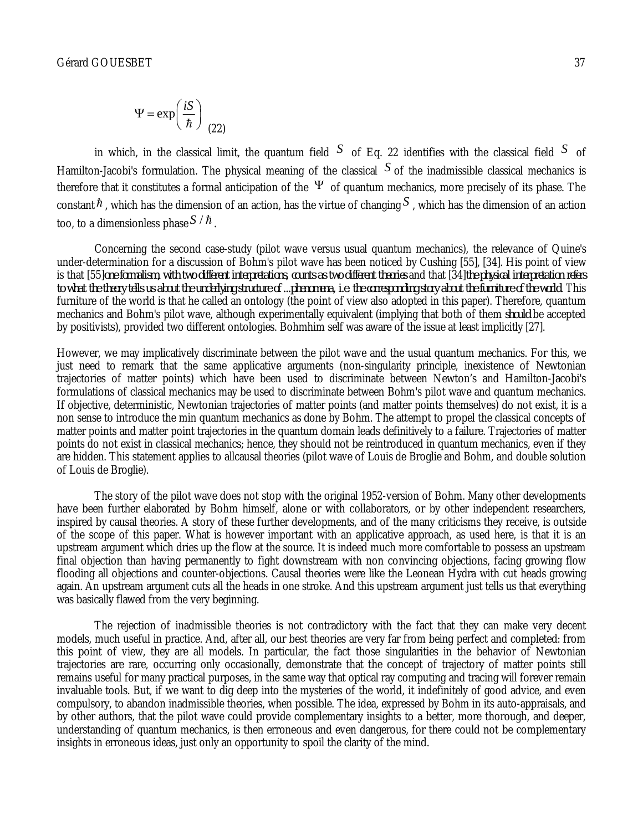$$
\Psi = \exp\left(\frac{iS}{\hbar}\right) \tag{22}
$$

in which, in the classical limit, the quantum field *S* of Eq. 22 identifies with the classical field *S* of Hamilton-Jacobi's formulation. The physical meaning of the classical  $S$  of the inadmissible classical mechanics is therefore that it constitutes a formal anticipation of the  $\Psi$  of quantum mechanics, more precisely of its phase. The constant  $h$ , which has the dimension of an action, has the virtue of changing  $S$ , which has the dimension of an action too, to a dimensionless phase  $S / h$ .

Concerning the second case-study (pilot wave versus usual quantum mechanics), the relevance of Quine's under-determination for a discussion of Bohm's pilot wave has been noticed by Cushing [55], [34]. His point of view is that [55]*one formalism, with two different interpretations, counts as two different theories* and that [34]*the physical interpretation refers to what the theory tells us about the underlying structure of ...phenomena, i.e. the corresponding story about the furniture of the world*. This furniture of the world is that he called an ontology (the point of view also adopted in this paper). Therefore, quantum mechanics and Bohm's pilot wave, although experimentally equivalent (implying that both of them *should* be accepted by positivists), provided two different ontologies. Bohmhim self was aware of the issue at least implicitly [27].

However, we may implicatively discriminate between the pilot wave and the usual quantum mechanics. For this, we just need to remark that the same applicative arguments (non-singularity principle, inexistence of Newtonian trajectories of matter points) which have been used to discriminate between Newton's and Hamilton-Jacobi's formulations of classical mechanics may be used to discriminate between Bohm's pilot wave and quantum mechanics. If objective, deterministic, Newtonian trajectories of matter points (and matter points themselves) do not exist, it is a non sense to introduce the min quantum mechanics as done by Bohm. The attempt to propel the classical concepts of matter points and matter point trajectories in the quantum domain leads definitively to a failure. Trajectories of matter points do not exist in classical mechanics; hence, they should not be reintroduced in quantum mechanics, even if they are hidden. This statement applies to allcausal theories (pilot wave of Louis de Broglie and Bohm, and double solution of Louis de Broglie).

The story of the pilot wave does not stop with the original 1952-version of Bohm. Many other developments have been further elaborated by Bohm himself, alone or with collaborators, or by other independent researchers, inspired by causal theories. A story of these further developments, and of the many criticisms they receive, is outside of the scope of this paper. What is however important with an applicative approach, as used here, is that it is an upstream argument which dries up the flow at the source. It is indeed much more comfortable to possess an upstream final objection than having permanently to fight downstream with non convincing objections, facing growing flow flooding all objections and counter-objections. Causal theories were like the Leonean Hydra with cut heads growing again. An upstream argument cuts all the heads in one stroke. And this upstream argument just tells us that everything was basically flawed from the very beginning.

The rejection of inadmissible theories is not contradictory with the fact that they can make very decent models, much useful in practice. And, after all, our best theories are very far from being perfect and completed: from this point of view, they are all models. In particular, the fact those singularities in the behavior of Newtonian trajectories are rare, occurring only occasionally, demonstrate that the concept of trajectory of matter points still remains useful for many practical purposes, in the same way that optical ray computing and tracing will forever remain invaluable tools. But, if we want to dig deep into the mysteries of the world, it indefinitely of good advice, and even compulsory, to abandon inadmissible theories, when possible. The idea, expressed by Bohm in its auto-appraisals, and by other authors, that the pilot wave could provide complementary insights to a better, more thorough, and deeper, understanding of quantum mechanics, is then erroneous and even dangerous, for there could not be complementary insights in erroneous ideas, just only an opportunity to spoil the clarity of the mind.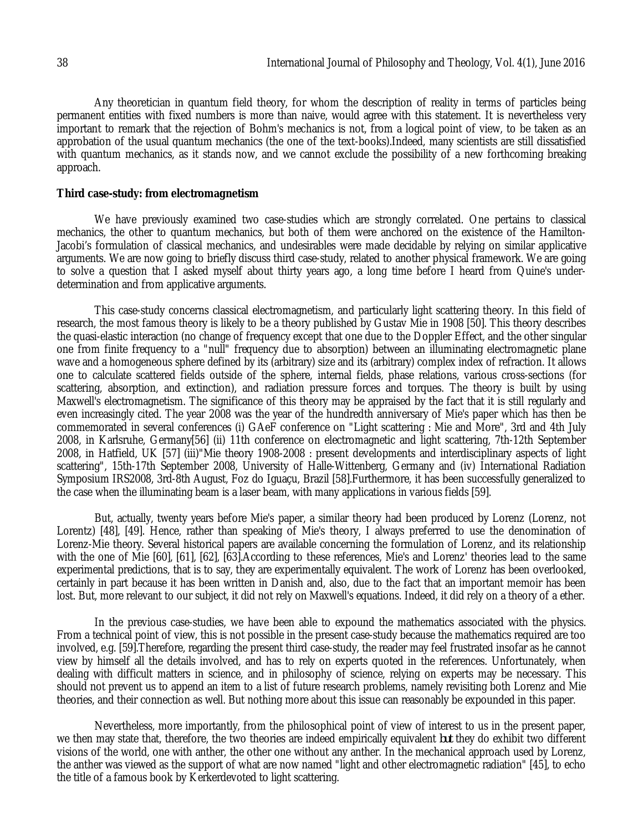Any theoretician in quantum field theory, for whom the description of reality in terms of particles being permanent entities with fixed numbers is more than naive, would agree with this statement. It is nevertheless very important to remark that the rejection of Bohm's mechanics is not, from a logical point of view, to be taken as an approbation of the usual quantum mechanics (the one of the text-books).Indeed, many scientists are still dissatisfied with quantum mechanics, as it stands now, and we cannot exclude the possibility of a new forthcoming breaking approach.

#### **Third case-study: from electromagnetism**

We have previously examined two case-studies which are strongly correlated. One pertains to classical mechanics, the other to quantum mechanics, but both of them were anchored on the existence of the Hamilton-Jacobi's formulation of classical mechanics, and undesirables were made decidable by relying on similar applicative arguments. We are now going to briefly discuss third case-study, related to another physical framework. We are going to solve a question that I asked myself about thirty years ago, a long time before I heard from Quine's underdetermination and from applicative arguments.

This case-study concerns classical electromagnetism, and particularly light scattering theory. In this field of research, the most famous theory is likely to be a theory published by Gustav Mie in 1908 [50]. This theory describes the quasi-elastic interaction (no change of frequency except that one due to the Doppler Effect, and the other singular one from finite frequency to a "null" frequency due to absorption) between an illuminating electromagnetic plane wave and a homogeneous sphere defined by its (arbitrary) size and its (arbitrary) complex index of refraction. It allows one to calculate scattered fields outside of the sphere, internal fields, phase relations, various cross-sections (for scattering, absorption, and extinction), and radiation pressure forces and torques. The theory is built by using Maxwell's electromagnetism. The significance of this theory may be appraised by the fact that it is still regularly and even increasingly cited. The year 2008 was the year of the hundredth anniversary of Mie's paper which has then be commemorated in several conferences (i) GAeF conference on "Light scattering : Mie and More", 3rd and 4th July 2008, in Karlsruhe, Germany[56] (ii) 11th conference on electromagnetic and light scattering, 7th-12th September 2008, in Hatfield, UK [57] (iii)"Mie theory 1908-2008 : present developments and interdisciplinary aspects of light scattering", 15th-17th September 2008, University of Halle-Wittenberg, Germany and (iv) International Radiation Symposium IRS2008, 3rd-8th August, Foz do Iguaçu, Brazil [58].Furthermore, it has been successfully generalized to the case when the illuminating beam is a laser beam, with many applications in various fields [59].

But, actually, twenty years before Mie's paper, a similar theory had been produced by Lorenz (Lorenz, not Lorentz) [48], [49]. Hence, rather than speaking of Mie's theory, I always preferred to use the denomination of Lorenz-Mie theory. Several historical papers are available concerning the formulation of Lorenz, and its relationship with the one of Mie [60], [61], [62], [63].According to these references, Mie's and Lorenz' theories lead to the same experimental predictions, that is to say, they are experimentally equivalent. The work of Lorenz has been overlooked, certainly in part because it has been written in Danish and, also, due to the fact that an important memoir has been lost. But, more relevant to our subject, it did not rely on Maxwell's equations. Indeed, it did rely on a theory of a ether.

In the previous case-studies, we have been able to expound the mathematics associated with the physics. From a technical point of view, this is not possible in the present case-study because the mathematics required are too involved, e.g. [59].Therefore, regarding the present third case-study, the reader may feel frustrated insofar as he cannot view by himself all the details involved, and has to rely on experts quoted in the references. Unfortunately, when dealing with difficult matters in science, and in philosophy of science, relying on experts may be necessary. This should not prevent us to append an item to a list of future research problems, namely revisiting both Lorenz and Mie theories, and their connection as well. But nothing more about this issue can reasonably be expounded in this paper.

Nevertheless, more importantly, from the philosophical point of view of interest to us in the present paper, we then may state that, therefore, the two theories are indeed empirically equivalent *but* they do exhibit two different visions of the world, one with anther, the other one without any anther. In the mechanical approach used by Lorenz, the anther was viewed as the support of what are now named "light and other electromagnetic radiation" [45], to echo the title of a famous book by Kerkerdevoted to light scattering.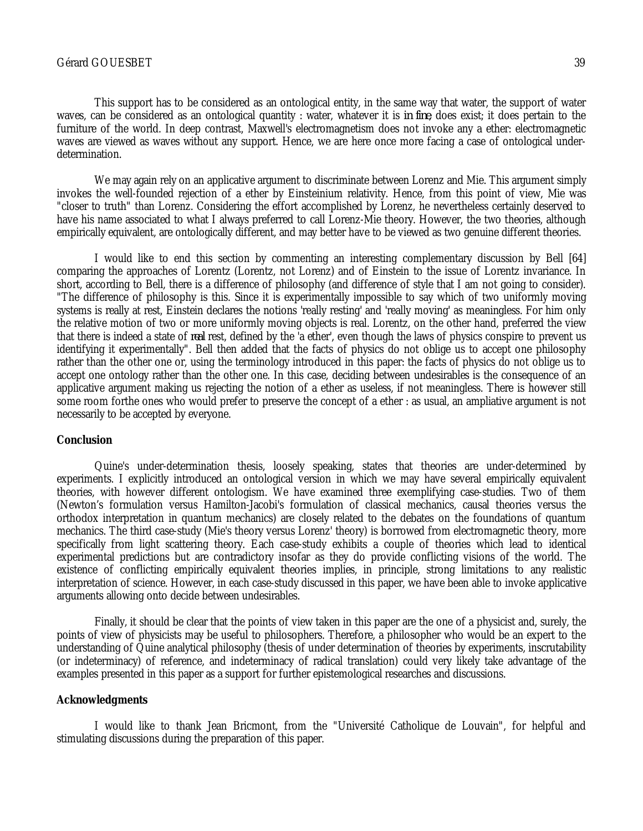This support has to be considered as an ontological entity, in the same way that water, the support of water waves, can be considered as an ontological quantity : water, whatever it is *in fine*, does exist; it does pertain to the furniture of the world. In deep contrast, Maxwell's electromagnetism does not invoke any a ether: electromagnetic waves are viewed as waves without any support. Hence, we are here once more facing a case of ontological underdetermination.

We may again rely on an applicative argument to discriminate between Lorenz and Mie. This argument simply invokes the well-founded rejection of a ether by Einsteinium relativity. Hence, from this point of view, Mie was "closer to truth" than Lorenz. Considering the effort accomplished by Lorenz, he nevertheless certainly deserved to have his name associated to what I always preferred to call Lorenz-Mie theory. However, the two theories, although empirically equivalent, are ontologically different, and may better have to be viewed as two genuine different theories.

I would like to end this section by commenting an interesting complementary discussion by Bell [64] comparing the approaches of Lorentz (Lorentz, not Lorenz) and of Einstein to the issue of Lorentz invariance. In short, according to Bell, there is a difference of philosophy (and difference of style that I am not going to consider). "The difference of philosophy is this. Since it is experimentally impossible to say which of two uniformly moving systems is really at rest, Einstein declares the notions 'really resting' and 'really moving' as meaningless. For him only the relative motion of two or more uniformly moving objects is real. Lorentz, on the other hand, preferred the view that there is indeed a state of *real* rest, defined by the 'a ether', even though the laws of physics conspire to prevent us identifying it experimentally". Bell then added that the facts of physics do not oblige us to accept one philosophy rather than the other one or, using the terminology introduced in this paper: the facts of physics do not oblige us to accept one ontology rather than the other one. In this case, deciding between undesirables is the consequence of an applicative argument making us rejecting the notion of a ether as useless, if not meaningless. There is however still some room forthe ones who would prefer to preserve the concept of a ether : as usual, an ampliative argument is not necessarily to be accepted by everyone.

#### **Conclusion**

Quine's under-determination thesis, loosely speaking, states that theories are under-determined by experiments. I explicitly introduced an ontological version in which we may have several empirically equivalent theories, with however different ontologism. We have examined three exemplifying case-studies. Two of them (Newton's formulation versus Hamilton-Jacobi's formulation of classical mechanics, causal theories versus the orthodox interpretation in quantum mechanics) are closely related to the debates on the foundations of quantum mechanics. The third case-study (Mie's theory versus Lorenz' theory) is borrowed from electromagnetic theory, more specifically from light scattering theory. Each case-study exhibits a couple of theories which lead to identical experimental predictions but are contradictory insofar as they do provide conflicting visions of the world. The existence of conflicting empirically equivalent theories implies, in principle, strong limitations to any realistic interpretation of science. However, in each case-study discussed in this paper, we have been able to invoke applicative arguments allowing onto decide between undesirables.

Finally, it should be clear that the points of view taken in this paper are the one of a physicist and, surely, the points of view of physicists may be useful to philosophers. Therefore, a philosopher who would be an expert to the understanding of Quine analytical philosophy (thesis of under determination of theories by experiments, inscrutability (or indeterminacy) of reference, and indeterminacy of radical translation) could very likely take advantage of the examples presented in this paper as a support for further epistemological researches and discussions.

#### **Acknowledgments**

I would like to thank Jean Bricmont, from the "Université Catholique de Louvain", for helpful and stimulating discussions during the preparation of this paper.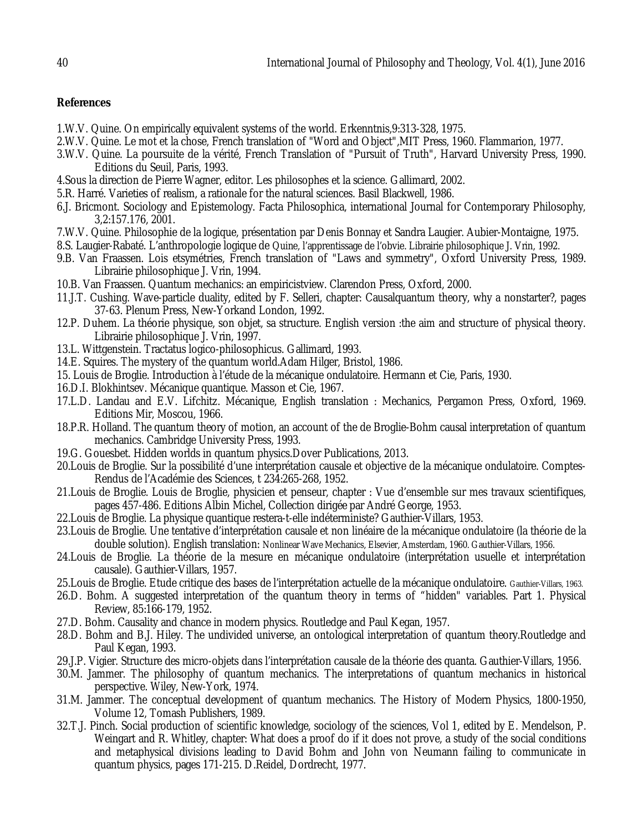## **References**

- 1.W.V. Quine. On empirically equivalent systems of the world. Erkenntnis,9:313-328, 1975.
- 2.W.V. Quine. Le mot et la chose, French translation of "Word and Object",MIT Press, 1960. Flammarion, 1977.
- 3.W.V. Quine. La poursuite de la vérité, French Translation of "Pursuit of Truth", Harvard University Press, 1990. Editions du Seuil, Paris, 1993.
- 4.Sous la direction de Pierre Wagner, editor. Les philosophes et la science. Gallimard, 2002.
- 5.R. Harré. Varieties of realism, a rationale for the natural sciences. Basil Blackwell, 1986.
- 6.J. Bricmont. Sociology and Epistemology. Facta Philosophica, international Journal for Contemporary Philosophy, 3,2:157.176, 2001.
- 7.W.V. Quine. Philosophie de la logique, présentation par Denis Bonnay et Sandra Laugier. Aubier-Montaigne, 1975.
- 8.S. Laugier-Rabaté. L'anthropologie logique de Quine, l'apprentissage de l'obvie. Librairie philosophique J. Vrin, 1992.
- 9.B. Van Fraassen. Lois etsymétries, French translation of "Laws and symmetry", Oxford University Press, 1989. Librairie philosophique J. Vrin, 1994.
- 10.B. Van Fraassen. Quantum mechanics: an empiricistview. Clarendon Press, Oxford, 2000.
- 11.J.T. Cushing. Wave-particle duality, edited by F. Selleri, chapter: Causalquantum theory, why a nonstarter?, pages 37-63. Plenum Press, New-Yorkand London, 1992.
- 12.P. Duhem. La théorie physique, son objet, sa structure. English version :the aim and structure of physical theory. Librairie philosophique J. Vrin, 1997.
- 13.L. Wittgenstein. Tractatus logico-philosophicus. Gallimard, 1993.
- 14.E. Squires. The mystery of the quantum world.Adam Hilger, Bristol, 1986.
- 15. Louis de Broglie. Introduction à l'étude de la mécanique ondulatoire. Hermann et Cie, Paris, 1930.
- 16.D.I. Blokhintsev. Mécanique quantique. Masson et Cie, 1967.
- 17.L.D. Landau and E.V. Lifchitz. Mécanique, English translation : Mechanics, Pergamon Press, Oxford, 1969. Editions Mir, Moscou, 1966.
- 18.P.R. Holland. The quantum theory of motion, an account of the de Broglie-Bohm causal interpretation of quantum mechanics. Cambridge University Press, 1993.
- 19.G. Gouesbet. Hidden worlds in quantum physics.Dover Publications, 2013.
- 20.Louis de Broglie. Sur la possibilité d'une interprétation causale et objective de la mécanique ondulatoire. Comptes-Rendus de l'Académie des Sciences, t 234:265-268, 1952.
- 21.Louis de Broglie. Louis de Broglie, physicien et penseur, chapter : Vue d'ensemble sur mes travaux scientifiques, pages 457-486. Editions Albin Michel, Collection dirigée par André George, 1953.
- 22.Louis de Broglie. La physique quantique restera-t-elle indéterministe? Gauthier-Villars, 1953.
- 23.Louis de Broglie. Une tentative d'interprétation causale et non linéaire de la mécanique ondulatoire (la théorie de la double solution). English translation: Nonlinear Wave Mechanics, Elsevier, Amsterdam, 1960. Gauthier-Villars, 1956.
- 24.Louis de Broglie. La théorie de la mesure en mécanique ondulatoire (interprétation usuelle et interprétation causale). Gauthier-Villars, 1957.
- 25.Louis de Broglie. Etude critique des bases de l'interprétation actuelle de la mécanique ondulatoire. Gauthier-Villars, 1963.
- 26.D. Bohm. A suggested interpretation of the quantum theory in terms of "hidden" variables. Part 1. Physical Review, 85:166-179, 1952.
- 27.D. Bohm. Causality and chance in modern physics. Routledge and Paul Kegan, 1957.
- 28.D. Bohm and B.J. Hiley. The undivided universe, an ontological interpretation of quantum theory.Routledge and Paul Kegan, 1993.
- 29.J.P. Vigier. Structure des micro-objets dans l'interprétation causale de la théorie des quanta. Gauthier-Villars, 1956.
- 30.M. Jammer. The philosophy of quantum mechanics. The interpretations of quantum mechanics in historical perspective. Wiley, New-York, 1974.
- 31.M. Jammer. The conceptual development of quantum mechanics. The History of Modern Physics, 1800-1950, Volume 12, Tomash Publishers, 1989.
- 32.T.J. Pinch. Social production of scientific knowledge, sociology of the sciences, Vol 1, edited by E. Mendelson, P. Weingart and R. Whitley, chapter: What does a proof do if it does not prove, a study of the social conditions and metaphysical divisions leading to David Bohm and John von Neumann failing to communicate in quantum physics, pages 171-215. D.Reidel, Dordrecht, 1977.